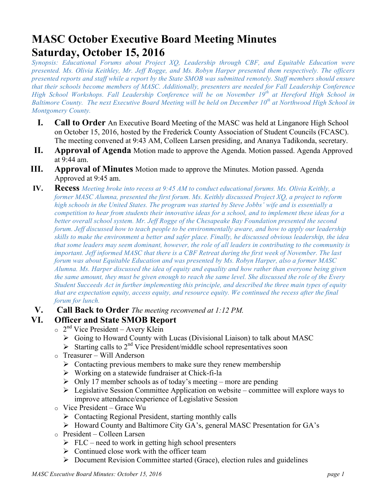# **MASC October Executive Board Meeting Minutes Saturday, October 15, 2016**

*Synopsis: Educational Forums about Project XQ, Leadership through CBF, and Equitable Education were presented. Ms. Olivia Keithley, Mr. Jeff Rogge, and Ms. Robyn Harper presented them respectively. The officers presented reports and staff while a report by the State SMOB was submitted remotely. Staff members should ensure that their schools become members of MASC. Additionally, presenters are needed for Fall Leadership Conference High School Workshops. Fall Leadership Conference will be on November 19th at Hereford High School in Baltimore County. The next Executive Board Meeting will be held on December 10th at Northwood High School in Montgomery County.*

- **I. Call to Order** An Executive Board Meeting of the MASC was held at Linganore High School on October 15, 2016, hosted by the Frederick County Association of Student Councils (FCASC). The meeting convened at 9:43 AM, Colleen Larsen presiding, and Ananya Tadikonda, secretary.
- **II. Approval of Agenda** Motion made to approve the Agenda. Motion passed. Agenda Approved at 9:44 am.
- **III. Approval of Minutes** Motion made to approve the Minutes. Motion passed. Agenda Approved at 9:45 am.
- **IV. Recess** *Meeting broke into recess at 9:45 AM to conduct educational forums. Ms. Olivia Keithly, a former MASC Alumna, presented the first forum. Ms. Keithly discussed Project XQ, a project to reform high schools in the United States. The program was started by Steve Jobbs' wife and is essentially a competition to hear from students their innovative ideas for a school, and to implement these ideas for a better overall school system. Mr. Jeff Rogge of the Chesapeake Bay Foundation presented the second forum. Jeff discussed how to teach people to be environmentally aware, and how to apply our leadership skills to make the environment a better and safer place. Finally, he discussed obvious leadership, the idea that some leaders may seem dominant, however, the role of all leaders in contributing to the community is important. Jeff informed MASC that there is a CBF Retreat during the first week of November. The last forum was about Equitable Education and was presented by Ms. Robyn Harper, also a former MASC Alumna. Ms. Harper discussed the idea of equity and equality and how rather than everyone being given the same amount, they must be given enough to reach the same level. She discussed the role of the Every Student Succeeds Act in further implementing this principle, and described the three main types of equity that are expectation equity, access equity, and resource equity. We continued the recess after the final forum for lunch.*
- **V. Call Back to Order** *The meeting reconvened at 1:12 PM.*

## **VI. Officer and State SMOB Report**

- $\circ$  2<sup>nd</sup> Vice President Avery Klein
	- $\triangleright$  Going to Howard County with Lucas (Divisional Liaison) to talk about MASC
	- $\triangleright$  Starting calls to 2<sup>nd</sup> Vice President/middle school representatives soon
- o Treasurer Will Anderson
	- $\triangleright$  Contacting previous members to make sure they renew membership
	- $\triangleright$  Working on a statewide fundraiser at Chick-fi-la
	- $\geq$  Only 17 member schools as of today's meeting more are pending
	- $\triangleright$  Legislative Session Committee Application on website committee will explore ways to improve attendance/experience of Legislative Session
- o Vice President Grace Wu
	- $\triangleright$  Contacting Regional President, starting monthly calls
	- Ø Howard County and Baltimore City GA's, general MASC Presentation for GA's
- o President Colleen Larsen
	- $\triangleright$  FLC need to work in getting high school presenters
	- $\triangleright$  Continued close work with the officer team
	- $\triangleright$  Document Revision Committee started (Grace), election rules and guidelines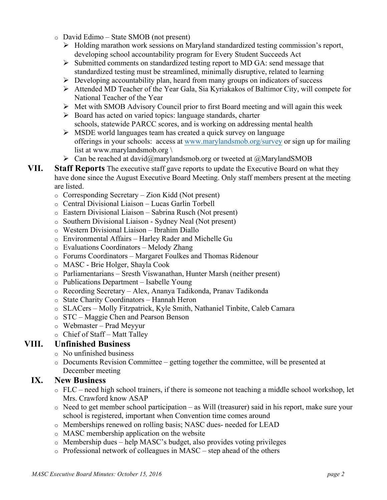- o David Edimo State SMOB (not present)
	- $\triangleright$  Holding marathon work sessions on Maryland standardized testing commission's report, developing school accountability program for Every Student Succeeds Act
	- $\triangleright$  Submitted comments on standardized testing report to MD GA: send message that standardized testing must be streamlined, minimally disruptive, related to learning
	- $\triangleright$  Developing accountability plan, heard from many groups on indicators of success
	- $\triangleright$  Attended MD Teacher of the Year Gala, Sia Kyriakakos of Baltimor City, will compete for National Teacher of the Year
	- $\triangleright$  Met with SMOB Advisory Council prior to first Board meeting and will again this week
	- $\triangleright$  Board has acted on varied topics: language standards, charter schools, statewide PARCC scores, and is working on addressing mental health
	- $\triangleright$  MSDE world languages team has created a quick survey on language offerings in your schools: access at www.marylandsmob.org/survey or sign up for mailing list at www.marylandsmob.org \
	- $\triangleright$  Can be reached at david@marylandsmob.org or tweeted at @MarylandSMOB
- **VII. Staff Reports** The executive staff gave reports to update the Executive Board on what they have done since the August Executive Board Meeting. Only staff members present at the meeting are listed.
	- o Corresponding Secretary Zion Kidd (Not present)
	- o Central Divisional Liaison Lucas Garlin Torbell
	- o Eastern Divisional Liaison Sabrina Rusch (Not present)
	- o Southern Divisional Liaison Sydney Neal (Not present)
	- o Western Divisional Liaison Ibrahim Diallo
	- o Environmental Affairs Harley Rader and Michelle Gu
	- o Evaluations Coordinators Melody Zhang
	- o Forums Coordinators Margaret Foulkes and Thomas Ridenour
	- o MASC Brie Holger, Shayla Cook
	- o Parliamentarians Sresth Viswanathan, Hunter Marsh (neither present)
	- o Publications Department Isabelle Young
	- o Recording Secretary Alex, Ananya Tadikonda, Pranav Tadikonda
	- o State Charity Coordinators Hannah Heron
	- o SLACers Molly Fitzpatrick, Kyle Smith, Nathaniel Tinbite, Caleb Camara
	- o STC Maggie Chen and Pearson Benson
	- o Webmaster Prad Meyyur
	- o Chief of Staff Matt Talley

#### **VIII. Unfinished Business**

- o No unfinished business
- o Documents Revision Committee getting together the committee, will be presented at December meeting

#### **IX. New Business**

- o FLC need high school trainers, if there is someone not teaching a middle school workshop, let Mrs. Crawford know ASAP
- o Need to get member school participation as Will (treasurer) said in his report, make sure your school is registered, important when Convention time comes around
- o Memberships renewed on rolling basis; NASC dues- needed for LEAD
- o MASC membership application on the website
- o Membership dues help MASC's budget, also provides voting privileges
- $\circ$  Professional network of colleagues in MASC step ahead of the others